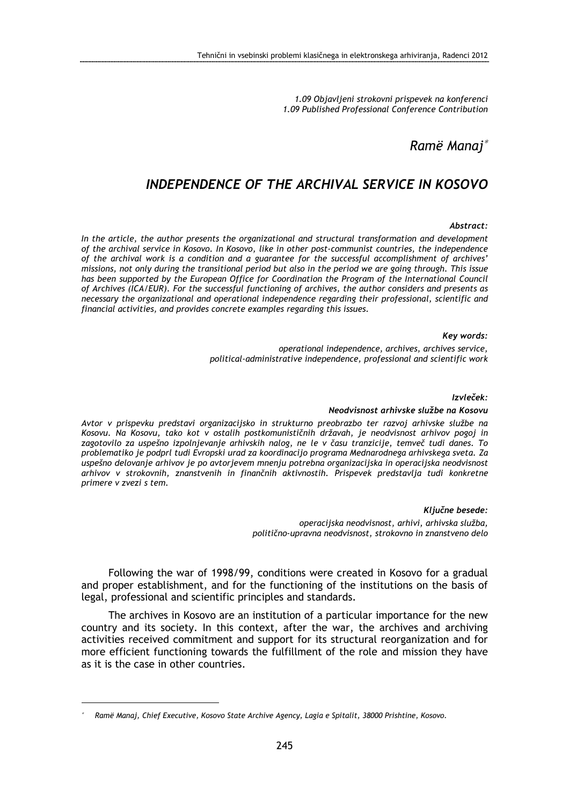1.09 Objavljeni strokovni prispevek na konferenci 1.09 Published Professional Conference Contribution

# Ramë Manaj<sup>∗</sup>

# INDEPENDENCE OF THE ARCHIVAL SERVICE IN KOSOVO

#### Abstract:

In the article, the author presents the organizational and structural transformation and development of the archival service in Kosovo. In Kosovo, like in other post-communist countries, the independence of the archival work is a condition and a guarantee for the successful accomplishment of archives' missions, not only during the transitional period but also in the period we are going through. This issue has been supported by the European Office for Coordination the Program of the International Council of Archives (ICA/EUR). For the successful functioning of archives, the author considers and presents as necessary the organizational and operational independence regarding their professional, scientific and financial activities, and provides concrete examples regarding this issues.

#### Key words:

operational independence, archives, archives service, political-administrative independence, professional and scientific work

#### Izvleček:

#### Neodvisnost arhivske službe na Kosovu

Avtor v prispevku predstavi organizacijsko in strukturno preobrazbo ter razvoj arhivske službe na Kosovu. Na Kosovu, tako kot v ostalih postkomunističnih državah, je neodvisnost arhivov pogoj in zagotovilo za uspešno izpolnjevanje arhivskih nalog, ne le v času tranzicije, temveč tudi danes. To problematiko je podprl tudi Evropski urad za koordinacijo programa Mednarodnega arhivskega sveta. Za uspešno delovanje arhivov je po avtorjevem mnenju potrebna organizacijska in operacijska neodvisnost arhivov v strokovnih, znanstvenih in finančnih aktivnostih. Prispevek predstavlja tudi konkretne primere v zvezi s tem.

> Ključne besede: operacijska neodvisnost, arhivi, arhivska služba, politično-upravna neodvisnost, strokovno in znanstveno delo

Following the war of 1998/99, conditions were created in Kosovo for a gradual and proper establishment, and for the functioning of the institutions on the basis of legal, professional and scientific principles and standards.

The archives in Kosovo are an institution of a particular importance for the new country and its society. In this context, after the war, the archives and archiving activities received commitment and support for its structural reorganization and for more efficient functioning towards the fulfillment of the role and mission they have as it is the case in other countries.

 $\overline{a}$ 

<sup>∗</sup>Ramë Manaj, Chief Executive, Kosovo State Archive Agency, Lagia e Spitalit, 38000 Prishtine, Kosovo.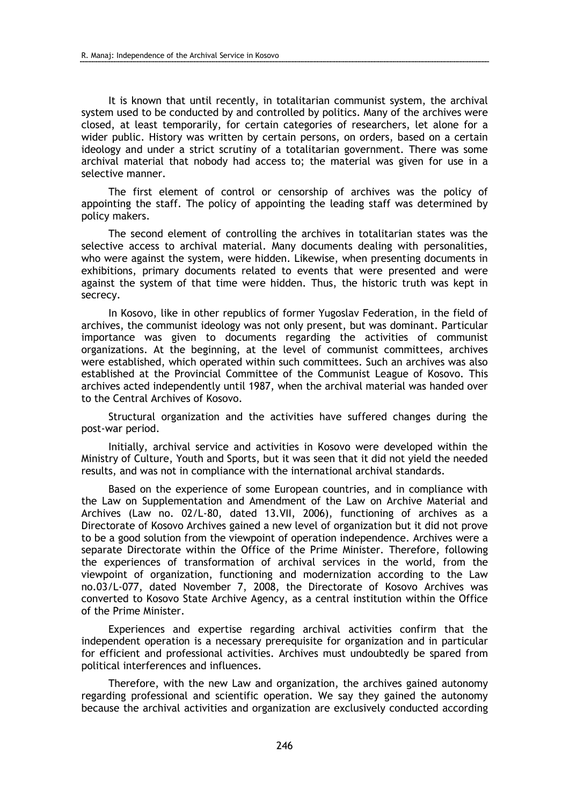It is known that until recently, in totalitarian communist system, the archival system used to be conducted by and controlled by politics. Many of the archives were closed, at least temporarily, for certain categories of researchers, let alone for a wider public. History was written by certain persons, on orders, based on a certain ideology and under a strict scrutiny of a totalitarian government. There was some archival material that nobody had access to; the material was given for use in a selective manner.

The first element of control or censorship of archives was the policy of appointing the staff. The policy of appointing the leading staff was determined by policy makers.

The second element of controlling the archives in totalitarian states was the selective access to archival material. Many documents dealing with personalities, who were against the system, were hidden. Likewise, when presenting documents in exhibitions, primary documents related to events that were presented and were against the system of that time were hidden. Thus, the historic truth was kept in secrecy.

In Kosovo, like in other republics of former Yugoslav Federation, in the field of archives, the communist ideology was not only present, but was dominant. Particular importance was given to documents regarding the activities of communist organizations. At the beginning, at the level of communist committees, archives were established, which operated within such committees. Such an archives was also established at the Provincial Committee of the Communist League of Kosovo. This archives acted independently until 1987, when the archival material was handed over to the Central Archives of Kosovo.

Structural organization and the activities have suffered changes during the post-war period.

Initially, archival service and activities in Kosovo were developed within the Ministry of Culture, Youth and Sports, but it was seen that it did not yield the needed results, and was not in compliance with the international archival standards.

Based on the experience of some European countries, and in compliance with the Law on Supplementation and Amendment of the Law on Archive Material and Archives (Law no. 02/L-80, dated 13.VII, 2006), functioning of archives as a Directorate of Kosovo Archives gained a new level of organization but it did not prove to be a good solution from the viewpoint of operation independence. Archives were a separate Directorate within the Office of the Prime Minister. Therefore, following the experiences of transformation of archival services in the world, from the viewpoint of organization, functioning and modernization according to the Law no.03/L-077, dated November 7, 2008, the Directorate of Kosovo Archives was converted to Kosovo State Archive Agency, as a central institution within the Office of the Prime Minister.

Experiences and expertise regarding archival activities confirm that the independent operation is a necessary prerequisite for organization and in particular for efficient and professional activities. Archives must undoubtedly be spared from political interferences and influences.

Therefore, with the new Law and organization, the archives gained autonomy regarding professional and scientific operation. We say they gained the autonomy because the archival activities and organization are exclusively conducted according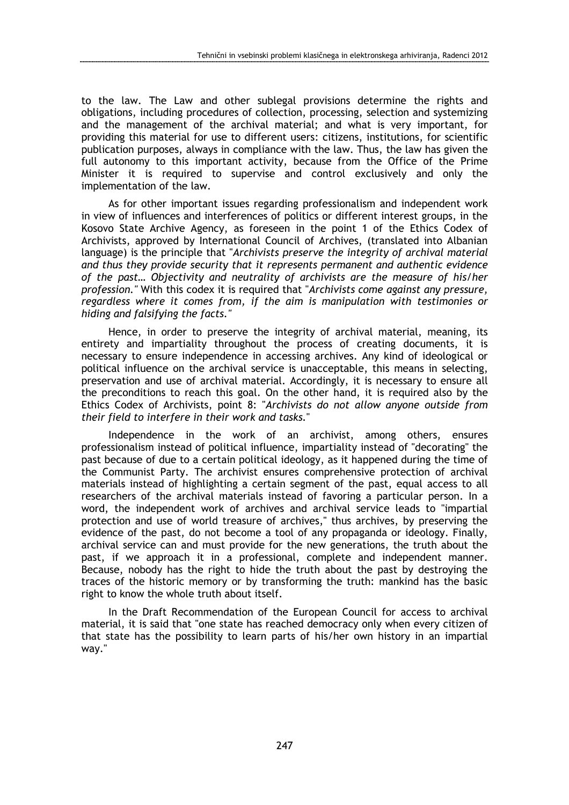to the law. The Law and other sublegal provisions determine the rights and obligations, including procedures of collection, processing, selection and systemizing and the management of the archival material; and what is very important, for providing this material for use to different users: citizens, institutions, for scientific publication purposes, always in compliance with the law. Thus, the law has given the full autonomy to this important activity, because from the Office of the Prime Minister it is required to supervise and control exclusively and only the implementation of the law.

As for other important issues regarding professionalism and independent work in view of influences and interferences of politics or different interest groups, in the Kosovo State Archive Agency, as foreseen in the point 1 of the Ethics Codex of Archivists, approved by International Council of Archives, (translated into Albanian language) is the principle that "Archivists preserve the integrity of archival material and thus they provide security that it represents permanent and authentic evidence of the past… Objectivity and neutrality of archivists are the measure of his/her profession." With this codex it is required that "Archivists come against any pressure, regardless where it comes from, if the aim is manipulation with testimonies or hiding and falsifying the facts."

Hence, in order to preserve the integrity of archival material, meaning, its entirety and impartiality throughout the process of creating documents, it is necessary to ensure independence in accessing archives. Any kind of ideological or political influence on the archival service is unacceptable, this means in selecting, preservation and use of archival material. Accordingly, it is necessary to ensure all the preconditions to reach this goal. On the other hand, it is required also by the Ethics Codex of Archivists, point 8: "Archivists do not allow anyone outside from their field to interfere in their work and tasks."

Independence in the work of an archivist, among others, ensures professionalism instead of political influence, impartiality instead of "decorating" the past because of due to a certain political ideology, as it happened during the time of the Communist Party. The archivist ensures comprehensive protection of archival materials instead of highlighting a certain segment of the past, equal access to all researchers of the archival materials instead of favoring a particular person. In a word, the independent work of archives and archival service leads to "impartial protection and use of world treasure of archives," thus archives, by preserving the evidence of the past, do not become a tool of any propaganda or ideology. Finally, archival service can and must provide for the new generations, the truth about the past, if we approach it in a professional, complete and independent manner. Because, nobody has the right to hide the truth about the past by destroying the traces of the historic memory or by transforming the truth: mankind has the basic right to know the whole truth about itself.

In the Draft Recommendation of the European Council for access to archival material, it is said that "one state has reached democracy only when every citizen of that state has the possibility to learn parts of his/her own history in an impartial way."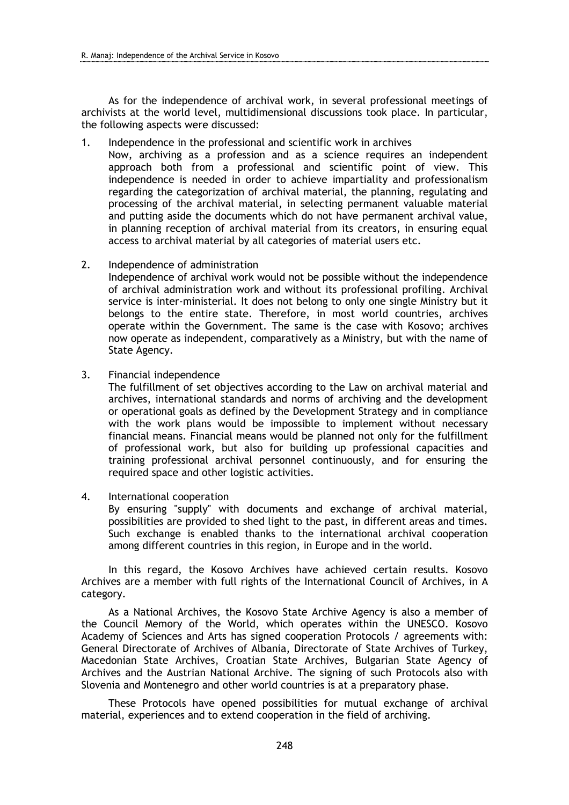As for the independence of archival work, in several professional meetings of archivists at the world level, multidimensional discussions took place. In particular, the following aspects were discussed:

1. Independence in the professional and scientific work in archives

Now, archiving as a profession and as a science requires an independent approach both from a professional and scientific point of view. This independence is needed in order to achieve impartiality and professionalism regarding the categorization of archival material, the planning, regulating and processing of the archival material, in selecting permanent valuable material and putting aside the documents which do not have permanent archival value, in planning reception of archival material from its creators, in ensuring equal access to archival material by all categories of material users etc.

2. Independence of administration

Independence of archival work would not be possible without the independence of archival administration work and without its professional profiling. Archival service is inter-ministerial. It does not belong to only one single Ministry but it belongs to the entire state. Therefore, in most world countries, archives operate within the Government. The same is the case with Kosovo; archives now operate as independent, comparatively as a Ministry, but with the name of State Agency.

3. Financial independence

The fulfillment of set objectives according to the Law on archival material and archives, international standards and norms of archiving and the development or operational goals as defined by the Development Strategy and in compliance with the work plans would be impossible to implement without necessary financial means. Financial means would be planned not only for the fulfillment of professional work, but also for building up professional capacities and training professional archival personnel continuously, and for ensuring the required space and other logistic activities.

4. International cooperation

By ensuring "supply" with documents and exchange of archival material, possibilities are provided to shed light to the past, in different areas and times. Such exchange is enabled thanks to the international archival cooperation among different countries in this region, in Europe and in the world.

In this regard, the Kosovo Archives have achieved certain results. Kosovo Archives are a member with full rights of the International Council of Archives, in A category.

As a National Archives, the Kosovo State Archive Agency is also a member of the Council Memory of the World, which operates within the UNESCO. Kosovo Academy of Sciences and Arts has signed cooperation Protocols / agreements with: General Directorate of Archives of Albania, Directorate of State Archives of Turkey, Macedonian State Archives, Croatian State Archives, Bulgarian State Agency of Archives and the Austrian National Archive. The signing of such Protocols also with Slovenia and Montenegro and other world countries is at a preparatory phase.

These Protocols have opened possibilities for mutual exchange of archival material, experiences and to extend cooperation in the field of archiving.